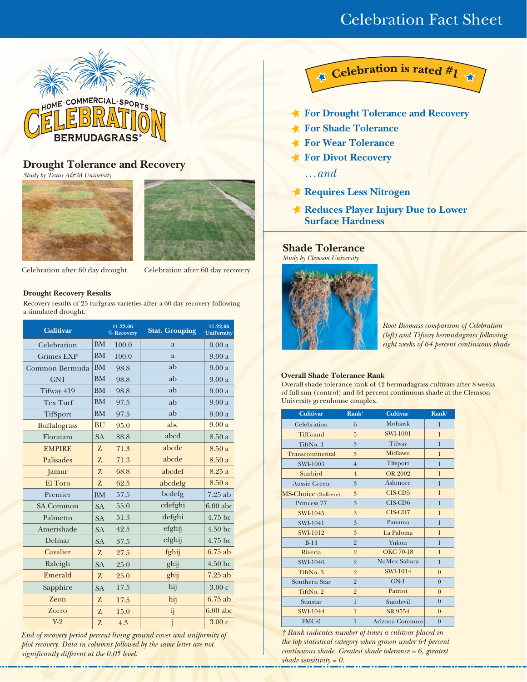# Celebration Fact Sheet



## **Drought Tolerance and Recovery**

*Study by Texas A&M University*





Celebration after 60 day drought. Celebration after 60 day recovery.

### **Drought Recovery Results**

Recovery results of 25 turfgrass varieties after a 60 day recovery following a simulated drought.

| <b>Culitivar</b>    |           | 11.22.06<br>% Recovery | <b>Stat. Grouping</b> | 11.22.06<br>Uniformity |  |
|---------------------|-----------|------------------------|-----------------------|------------------------|--|
| Celebration         | <b>BM</b> | 100.0                  | a                     | 9.00a                  |  |
| <b>Grimes EXP</b>   | <b>BM</b> | 100.0                  | a.                    | 9.00a                  |  |
| Common Bermuda      | <b>BM</b> | 98.8                   | ab                    | 9.00a                  |  |
| GN1                 | <b>BM</b> | 98.8                   | ab                    | 9.00a                  |  |
| Tifway 419          | <b>BM</b> | 98.8                   | ab                    | 9.00a                  |  |
| <b>Tex Turf</b>     | <b>BM</b> | 97.5                   | ab                    | 9.00a                  |  |
| TifSport            | <b>BM</b> | 97.5                   | ab                    | 9.00a                  |  |
| <b>Buffalograss</b> | <b>BU</b> | 95.0                   | abc                   | 9.00a                  |  |
| Floratam            | <b>SA</b> | 88.8                   | abcd                  | 8.50 a                 |  |
| <b>EMPIRE</b>       | Z         | 71.3                   | abcde                 | 8.50a                  |  |
| Palisades           | Z         | 71.3                   | abcde                 | 8.50a                  |  |
| Jamur               | Z         | 68.8                   | abcdef                | 8.25 a                 |  |
| El Toro             | Z         | 62.5                   | abcdefg               | 8.50a                  |  |
| Premier             | <b>BM</b> | 57.5                   | bcdefg                | $7.25$ ab              |  |
| <b>SA Common</b>    | <b>SA</b> | 55.0                   | cdefghi               | $6.00$ abc             |  |
| Palmetto            | <b>SA</b> | 51.3                   | defghi                | 4.75 <sub>bc</sub>     |  |
| Amerishade          | <b>SA</b> | 42.5                   | efghij                | 4.50 <sub>bc</sub>     |  |
| Delmar              | <b>SA</b> | 37.5                   | efghij                | 4.75 <sub>bc</sub>     |  |
| Cavalier            | Z         | 27.5                   | fghij                 | $6.75$ ab              |  |
| Raleigh             | <b>SA</b> | 25.0                   | ghij                  | $4.50$ bc              |  |
| Emerald             | Z         | 25.0                   | ghij                  | $7.25$ ab              |  |
| Sapphire            | <b>SA</b> | 17.5                   | hij                   | 3.00c                  |  |
| Zeon                | Z         | 17.5                   | hij                   | $6.75$ ab              |  |
| Zorro               | Z         | 15.0                   | ij                    | $6.00$ abc             |  |
| $Y-2$               | Z         | 4.3                    | $\dot{J}$             | 3.00c                  |  |

*End of recovery period percent living ground cover and uniformity of plot recovery. Data in columns followed by the same letter are not significantly different at the 0.05 level.*

- $\sqrt{2}$  Celebration is rated #1
- **For Drought Tolerance and Recovery**
- **For Shade Tolerance**
- **For Wear Tolerance**
- **For Divot Recovery**
	- *…and*
- **Requires Less Nitrogen**
- **Reduces Player Injury Due to Lower Surface Hardness**

**Shade Tolerance** *Study by Clemson University*



*Root Biomass comparison of Celebration (left) and Tifway bermudagrass following eight weeks of 64 percent continuous shade*

## **Overall Shade Tolerance Rank**

Overall shade tolerance rank of 42 bermudagrass cultivars after 8 weeks of full sun (control) and 64 percent continuous shade at the Clemson University greenhouse complex.

| <b>Culitivar</b>     | Rank <sup>+</sup> | <b>Cultivar</b>     | Rank <sup>+</sup> |  |
|----------------------|-------------------|---------------------|-------------------|--|
| Celebration          | 6                 | Mohawk              | 1                 |  |
| TifGrand             | 5                 | <b>SWI-1001</b>     | $\mathbf{1}$      |  |
| TiftNo. 1            | 5                 | Tifway              | $\mathbf{1}$      |  |
| Transcontinental     | 5                 | Midlawn             | $\mathbf{1}$      |  |
| <b>SWI-1003</b>      | $\overline{4}$    | Tifsport            | $\mathbf{1}$      |  |
| Sunbird              | $\overline{4}$    | <b>OR 2002</b>      | $\mathbf{1}$      |  |
| Aussie Green         | 3                 | Ashmore             | $\mathbf{1}$      |  |
| MS-Choice (Bullseye) | 3                 | CIS-CD5             | $\mathbf{1}$      |  |
| Princess 77          | 3                 | CIS-CD <sub>6</sub> | $\mathbf{1}$      |  |
| <b>SWI-1045</b>      | 3                 | CIS-CD7             | $\mathbf{1}$      |  |
| SWI-1041             | 3                 | Panama              | $\mathbf{1}$      |  |
| <b>SWI-1012</b>      | 3                 | La Paloma           | $\mathbf{1}$      |  |
| $B-14$               | $\overline{2}$    | Yukon               | $\mathbf{1}$      |  |
| <b>Riveria</b>       | $\overline{2}$    | <b>OKC 70-18</b>    | $\mathbf{1}$      |  |
| SWI-1046             | $\overline{2}$    | NuMex Sahara        | $\mathbf{1}$      |  |
| TiftNo. 3            | $\overline{2}$    | <b>SWI-1014</b>     | $\overline{0}$    |  |
| Southern Star        | $\overline{2}$    | $GN-1$              | $\theta$          |  |
| TiftNo. 2            | $\overline{2}$    | Patriot             | $\theta$          |  |
| Sunstar              | $\mathbf{1}$      | Sundevil            | $\overline{0}$    |  |
| <b>SWI-1044</b>      | $\mathbf{1}$      | SR 9554             | $\overline{0}$    |  |
| FMC-6                | $\mathbf{1}$      | Arizona Common      | $\overline{0}$    |  |

*† Rank indicates number of times a culitvar placed in the top statistical category when grown under 64 percent continuous shade. Greatest shade tolerance = 6, greatest shade sensitivity = 0.*